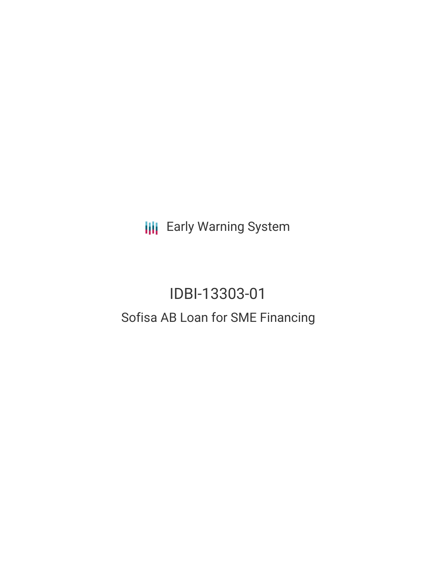**III** Early Warning System

# IDBI-13303-01 Sofisa AB Loan for SME Financing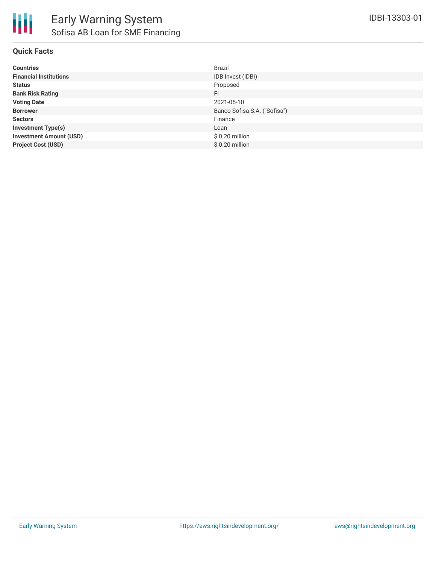

## **Quick Facts**

| <b>Countries</b>               | <b>Brazil</b>                |
|--------------------------------|------------------------------|
| <b>Financial Institutions</b>  | IDB Invest (IDBI)            |
| <b>Status</b>                  | Proposed                     |
| <b>Bank Risk Rating</b>        | FI                           |
| <b>Voting Date</b>             | 2021-05-10                   |
| <b>Borrower</b>                | Banco Sofisa S.A. ("Sofisa") |
| <b>Sectors</b>                 | Finance                      |
| <b>Investment Type(s)</b>      | Loan                         |
| <b>Investment Amount (USD)</b> | $$0.20$ million              |
| <b>Project Cost (USD)</b>      | $$0.20$ million              |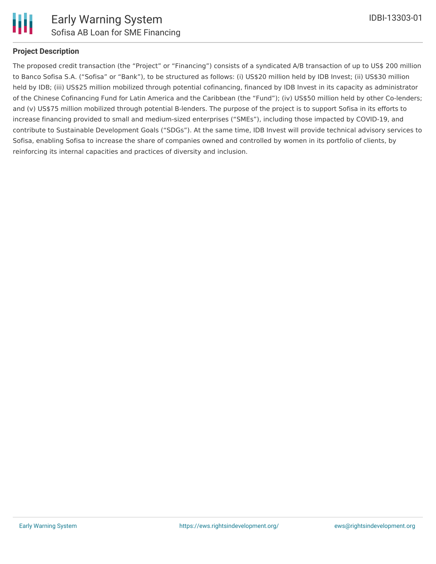

## **Project Description**

The proposed credit transaction (the "Project" or "Financing") consists of a syndicated A/B transaction of up to US\$ 200 million to Banco Sofisa S.A. ("Sofisa" or "Bank"), to be structured as follows: (i) US\$20 million held by IDB Invest; (ii) US\$30 million held by IDB; (iii) US\$25 million mobilized through potential cofinancing, financed by IDB Invest in its capacity as administrator of the Chinese Cofinancing Fund for Latin America and the Caribbean (the "Fund"); (iv) US\$50 million held by other Co-lenders; and (v) US\$75 million mobilized through potential B-lenders. The purpose of the project is to support Sofisa in its efforts to increase financing provided to small and medium-sized enterprises ("SMEs"), including those impacted by COVID-19, and contribute to Sustainable Development Goals ("SDGs"). At the same time, IDB Invest will provide technical advisory services to Sofisa, enabling Sofisa to increase the share of companies owned and controlled by women in its portfolio of clients, by reinforcing its internal capacities and practices of diversity and inclusion.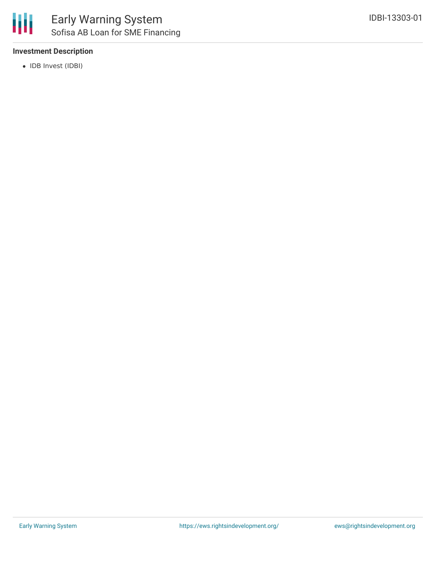### **Investment Description**

• IDB Invest (IDBI)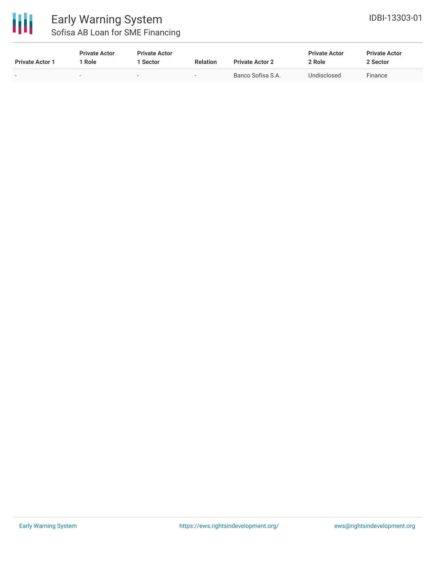

# Early Warning System Sofisa AB Loan for SME Financing

| <b>Private Actor 1</b> | <b>Private Actor</b><br>l Role | <b>Private Actor</b><br>l Sector | <b>Relation</b>          | <b>Private Actor 2</b> | <b>Private Actor</b><br>2 Role | <b>Private Actor</b><br>2 Sector |
|------------------------|--------------------------------|----------------------------------|--------------------------|------------------------|--------------------------------|----------------------------------|
|                        | $\overline{\phantom{0}}$       | $\overline{\phantom{a}}$         | $\overline{\phantom{0}}$ | Banco Sofisa S.A.      | Undisclosed                    | Finance                          |